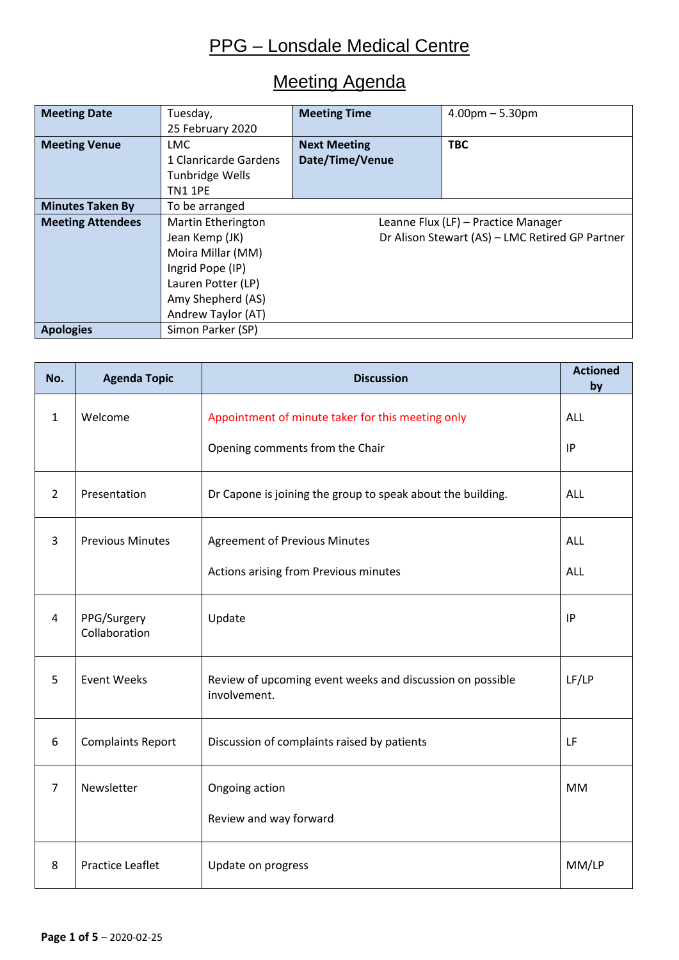# Meeting Agenda

| <b>Meeting Date</b>      | Tuesday,                                                  | <b>Meeting Time</b>                             | $4.00pm - 5.30pm$ |  |  |  |  |  |  |  |
|--------------------------|-----------------------------------------------------------|-------------------------------------------------|-------------------|--|--|--|--|--|--|--|
|                          | 25 February 2020                                          |                                                 |                   |  |  |  |  |  |  |  |
| <b>Meeting Venue</b>     | LMC                                                       | <b>Next Meeting</b>                             | <b>TBC</b>        |  |  |  |  |  |  |  |
|                          | 1 Clanricarde Gardens                                     | Date/Time/Venue                                 |                   |  |  |  |  |  |  |  |
|                          | Tunbridge Wells                                           |                                                 |                   |  |  |  |  |  |  |  |
|                          | <b>TN1 1PE</b>                                            |                                                 |                   |  |  |  |  |  |  |  |
| <b>Minutes Taken By</b>  | To be arranged                                            |                                                 |                   |  |  |  |  |  |  |  |
| <b>Meeting Attendees</b> | Martin Etherington<br>Leanne Flux (LF) - Practice Manager |                                                 |                   |  |  |  |  |  |  |  |
|                          | Jean Kemp (JK)                                            | Dr Alison Stewart (AS) - LMC Retired GP Partner |                   |  |  |  |  |  |  |  |
|                          | Moira Millar (MM)                                         |                                                 |                   |  |  |  |  |  |  |  |
|                          | Ingrid Pope (IP)                                          |                                                 |                   |  |  |  |  |  |  |  |
|                          | Lauren Potter (LP)                                        |                                                 |                   |  |  |  |  |  |  |  |
|                          | Amy Shepherd (AS)                                         |                                                 |                   |  |  |  |  |  |  |  |
|                          | Andrew Taylor (AT)                                        |                                                 |                   |  |  |  |  |  |  |  |
| <b>Apologies</b>         | Simon Parker (SP)                                         |                                                 |                   |  |  |  |  |  |  |  |

| No.            | <b>Agenda Topic</b>          | <b>Discussion</b>                                                         | <b>Actioned</b><br>by |
|----------------|------------------------------|---------------------------------------------------------------------------|-----------------------|
| $\mathbf{1}$   | Welcome                      | Appointment of minute taker for this meeting only                         | ALL                   |
|                |                              | Opening comments from the Chair                                           | IP                    |
| $\overline{2}$ | Presentation                 | Dr Capone is joining the group to speak about the building.               | <b>ALL</b>            |
| 3              | <b>Previous Minutes</b>      | <b>Agreement of Previous Minutes</b>                                      | <b>ALL</b>            |
|                |                              | Actions arising from Previous minutes                                     | <b>ALL</b>            |
| $\overline{4}$ | PPG/Surgery<br>Collaboration | Update                                                                    | IP                    |
| 5              | <b>Event Weeks</b>           | Review of upcoming event weeks and discussion on possible<br>involvement. | LF/LP                 |
| 6              | <b>Complaints Report</b>     | Discussion of complaints raised by patients                               | LF                    |
| $\overline{7}$ | Newsletter                   | Ongoing action                                                            | <b>MM</b>             |
|                |                              | Review and way forward                                                    |                       |
| 8              | <b>Practice Leaflet</b>      | Update on progress                                                        | MM/LP                 |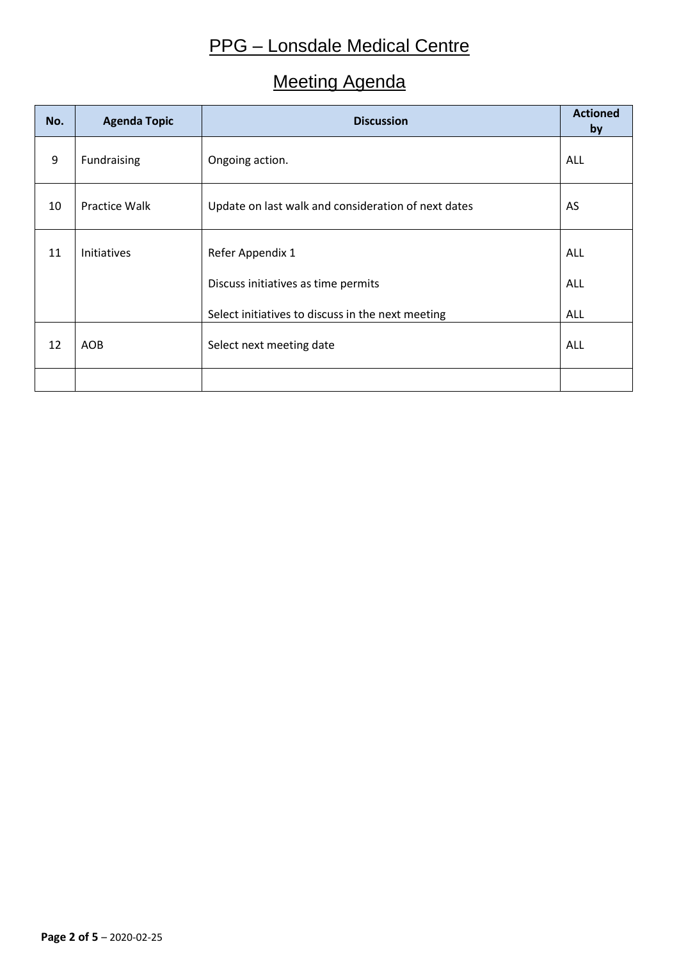### Meeting Agenda

| No. | <b>Agenda Topic</b> | <b>Discussion</b>                                   | <b>Actioned</b><br>by |
|-----|---------------------|-----------------------------------------------------|-----------------------|
| 9   | Fundraising         | Ongoing action.                                     | ALL                   |
| 10  | Practice Walk       | Update on last walk and consideration of next dates | AS                    |
| 11  | Initiatives         | Refer Appendix 1                                    | ALL                   |
|     |                     | Discuss initiatives as time permits                 | <b>ALL</b>            |
|     |                     | Select initiatives to discuss in the next meeting   | <b>ALL</b>            |
| 12  | <b>AOB</b>          | Select next meeting date                            | <b>ALL</b>            |
|     |                     |                                                     |                       |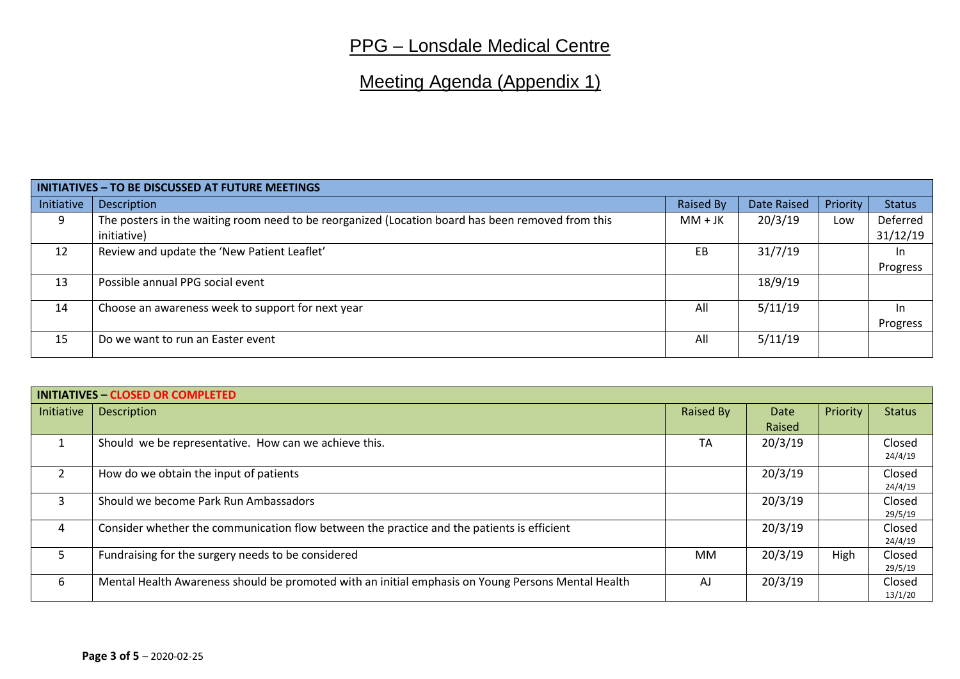# Meeting Agenda (Appendix 1)

| <b>INITIATIVES - TO BE DISCUSSED AT FUTURE MEETINGS</b> |                                                                                                   |                  |             |          |               |  |  |  |  |  |  |
|---------------------------------------------------------|---------------------------------------------------------------------------------------------------|------------------|-------------|----------|---------------|--|--|--|--|--|--|
| Initiative                                              | <b>Description</b>                                                                                | <b>Raised By</b> | Date Raised | Priority | <b>Status</b> |  |  |  |  |  |  |
| 9                                                       | The posters in the waiting room need to be reorganized (Location board has been removed from this | $MM+JK$          | 20/3/19     | Low      | Deferred      |  |  |  |  |  |  |
|                                                         | initiative)                                                                                       |                  |             |          | 31/12/19      |  |  |  |  |  |  |
| 12                                                      | Review and update the 'New Patient Leaflet'                                                       | <b>EB</b>        | 31/7/19     |          | In.           |  |  |  |  |  |  |
|                                                         |                                                                                                   |                  |             |          | Progress      |  |  |  |  |  |  |
| 13                                                      | Possible annual PPG social event                                                                  |                  | 18/9/19     |          |               |  |  |  |  |  |  |
| 14                                                      | Choose an awareness week to support for next year                                                 | All              | 5/11/19     |          | -In           |  |  |  |  |  |  |
|                                                         |                                                                                                   |                  |             |          | Progress      |  |  |  |  |  |  |
| 15                                                      | Do we want to run an Easter event                                                                 | All              | 5/11/19     |          |               |  |  |  |  |  |  |

| <b>INITIATIVES - CLOSED OR COMPLETED</b> |                                                                                                    |                  |         |          |               |  |  |  |  |  |  |  |
|------------------------------------------|----------------------------------------------------------------------------------------------------|------------------|---------|----------|---------------|--|--|--|--|--|--|--|
| Initiative                               | <b>Description</b>                                                                                 | <b>Raised By</b> | Date    | Priority | <b>Status</b> |  |  |  |  |  |  |  |
|                                          |                                                                                                    |                  | Raised  |          |               |  |  |  |  |  |  |  |
|                                          | Should we be representative. How can we achieve this.                                              | <b>TA</b>        | 20/3/19 |          | Closed        |  |  |  |  |  |  |  |
|                                          |                                                                                                    |                  |         |          | 24/4/19       |  |  |  |  |  |  |  |
|                                          | How do we obtain the input of patients                                                             |                  | 20/3/19 |          | Closed        |  |  |  |  |  |  |  |
|                                          |                                                                                                    |                  |         |          | 24/4/19       |  |  |  |  |  |  |  |
| 3                                        | Should we become Park Run Ambassadors                                                              |                  | 20/3/19 |          | Closed        |  |  |  |  |  |  |  |
|                                          |                                                                                                    |                  |         |          | 29/5/19       |  |  |  |  |  |  |  |
| 4                                        | Consider whether the communication flow between the practice and the patients is efficient         |                  | 20/3/19 |          | Closed        |  |  |  |  |  |  |  |
|                                          |                                                                                                    |                  |         |          | 24/4/19       |  |  |  |  |  |  |  |
| 5.                                       | Fundraising for the surgery needs to be considered                                                 | МM               | 20/3/19 | High     | Closed        |  |  |  |  |  |  |  |
|                                          |                                                                                                    |                  |         |          | 29/5/19       |  |  |  |  |  |  |  |
| 6                                        | Mental Health Awareness should be promoted with an initial emphasis on Young Persons Mental Health | AJ               | 20/3/19 |          | Closed        |  |  |  |  |  |  |  |
|                                          |                                                                                                    |                  |         |          | 13/1/20       |  |  |  |  |  |  |  |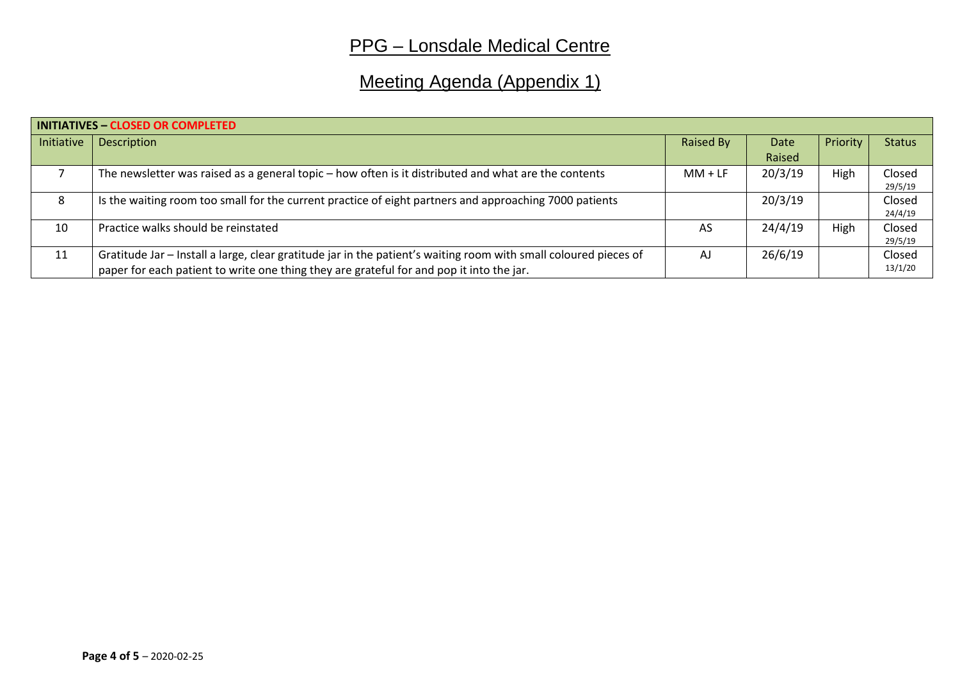# Meeting Agenda (Appendix 1)

| <b>INITIATIVES - CLOSED OR COMPLETED</b> |                                                                                                                  |           |         |          |               |  |  |  |  |  |  |
|------------------------------------------|------------------------------------------------------------------------------------------------------------------|-----------|---------|----------|---------------|--|--|--|--|--|--|
| Initiative                               | <b>Description</b>                                                                                               | Raised By | Date    | Priority | <b>Status</b> |  |  |  |  |  |  |
|                                          |                                                                                                                  |           | Raised  |          |               |  |  |  |  |  |  |
|                                          | The newsletter was raised as a general topic – how often is it distributed and what are the contents             | $MM + LF$ | 20/3/19 | High     | Closed        |  |  |  |  |  |  |
|                                          |                                                                                                                  |           |         |          | 29/5/19       |  |  |  |  |  |  |
| 8                                        | Is the waiting room too small for the current practice of eight partners and approaching 7000 patients           |           | 20/3/19 |          | Closed        |  |  |  |  |  |  |
|                                          |                                                                                                                  |           |         |          | 24/4/19       |  |  |  |  |  |  |
| 10                                       | Practice walks should be reinstated                                                                              | AS        | 24/4/19 | High     | Closed        |  |  |  |  |  |  |
|                                          |                                                                                                                  |           |         |          | 29/5/19       |  |  |  |  |  |  |
| 11                                       | Gratitude Jar – Install a large, clear gratitude jar in the patient's waiting room with small coloured pieces of | AJ        | 26/6/19 |          | Closed        |  |  |  |  |  |  |
|                                          | paper for each patient to write one thing they are grateful for and pop it into the jar.                         |           |         |          | 13/1/20       |  |  |  |  |  |  |